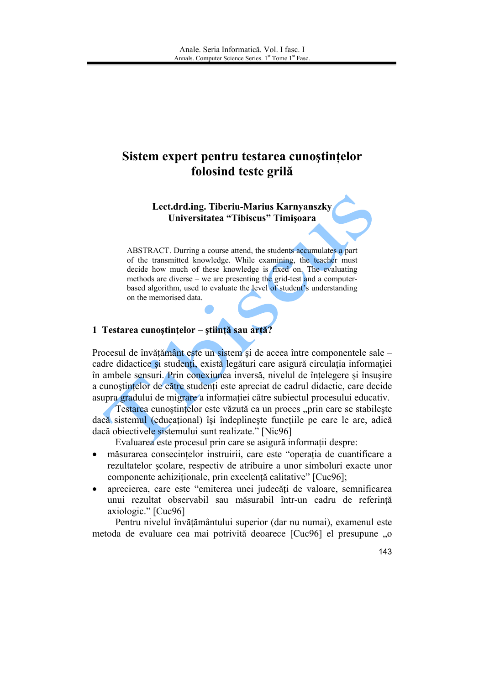# Sistem expert pentru testarea cunostințelor folosind teste grilă

Lect.drd.ing. Tiberiu-Marius Karnyanszky Universitatea "Tibiscus" Timișoara

ABSTRACT. Durring a course attend, the students accumulates a part of the transmitted knowledge. While examining, the teacher must decide how much of these knowledge is fixed on. The evaluating methods are diverse – we are presenting the grid-test and a computerbased algorithm, used to evaluate the level of student's understanding on the memorised data.

## 1 Testarea cunoștințelor - știință sau artă?

Procesul de învătământ este un sistem și de aceea între componentele sale – cadre didactice și studenți, există legături care asigură circulația informației în ambele sensuri. Prin conexiunea inversă, nivelul de înțelegere și însușire a cunostinte lor de către studenți este apreciat de cadrul didactic, care decide asupra gradului de migrare a informatiei către subiectul procesului educativ.

Testarea cunostintelor este văzută ca un proces "prin care se stabileste dacă sistemul (educațional) își îndeplinește funcțiile pe care le are, adică dacă obiectivele sistemului sunt realizate." [Nic96]

Evaluarea este procesul prin care se asigură informații despre:

- măsurarea consecintelor instruirii, care este "operatia de cuantificare a  $\bullet$ rezultatelor scolare, respectiv de atribuire a unor simboluri exacte unor componente achizitionale, prin excelentă calitative" [Cuc96];
- aprecierea, care este "emiterea unei judecăți de valoare, semnificarea unui rezultat observabil sau măsurabil într-un cadru de referință axiologic." [Cuc96]

Pentru nivelul învățământului superior (dar nu numai), examenul este metoda de evaluare cea mai potrivită deoarece [Cuc96] el presupune "o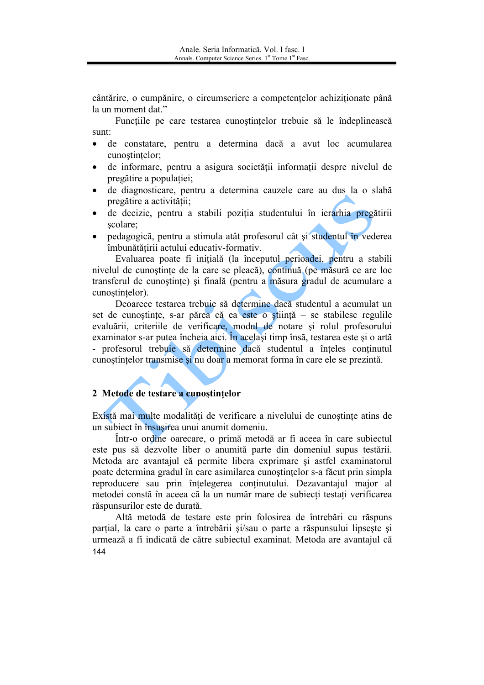cântărire, o cumpănire, o circumscriere a competentelor achiziționate până la un moment dat."

Functiile pe care testarea cunostintelor trebuie să le îndeplinească sunt:

- de constatare, pentru a determina dacă a avut loc acumularea  $\bullet$ cunostintelor;
- de informare, pentru a asigura societății informații despre nivelul de  $\bullet$ pregătire a populației;
- de diagnosticare, pentru a determina cauzele care au dus la o slabă pregătire a activității;
- de decizie, pentru a stabili poziția studentului în ierarhia pregătirii scolare:
- pedagogică, pentru a stimula atât profesorul cât și studentul în vederea îmbunătătirii actului educativ-formativ.

Evaluarea poate fi initială (la începutul perioadei, pentru a stabili nivelul de cunostinte de la care se pleacă), continuă (pe măsură ce are loc transferul de cunostinte) și finală (pentru a măsura gradul de acumulare a cunostințelor).

Deoarece testarea trebuie să determine dacă studentul a acumulat un set de cunostințe, s-ar părea că ea este o știință - se stabilesc regulile evaluării, criteriile de verificare, modul de notare si rolul profesorului examinator s-ar putea încheia aici. În același timp însă, testarea este și o artă - profesorul trebuie să determine dacă studentul a înțeles continutul cunostintelor transmise și nu doar a memorat forma în care ele se prezintă.

### 2 Metode de testare a cunostintelor

Există mai multe modalități de verificare a nivelului de cunostinte atins de un subiect în însusirea unui anumit domeniu.

Într-o ordine oarecare, o primă metodă ar fi aceea în care subiectul este pus să dezvolte liber o anumită parte din domeniul supus testării. Metoda are avantajul că permite libera exprimare și astfel examinatorul poate determina gradul în care asimilarea cunostintelor s-a făcut prin simpla reproducere sau prin înțelegerea conținutului. Dezavantajul major al metodei constă în aceea că la un număr mare de subiecti testati verificarea răspunsurilor este de durată.

Altă metodă de testare este prin folosirea de întrebări cu răspuns parțial, la care o parte a întrebării și/sau o parte a răspunsului lipsește și urmează a fi indicată de către subiectul examinat. Metoda are avantajul că 144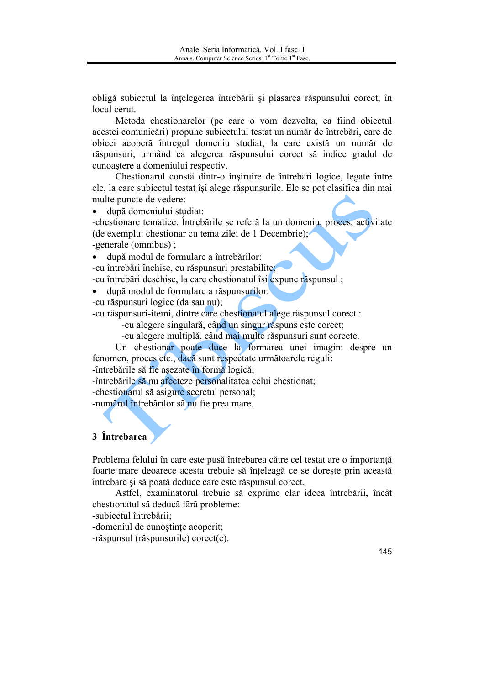obligă subiectul la întelegerea întrebării și plasarea răspunsului corect, în locul cerut.

Metoda chestionarelor (pe care o vom dezvolta, ea fiind objectul acestei comunicări) propune subiectului testat un număr de întrebări, care de obicei acoperă întregul domeniu studiat, la care există un număr de răspunsuri, urmând ca alegerea răspunsului corect să indice gradul de cunoastere a domeniului respectiv.

Chestionarul constă dintr-o însiruire de întrebări logice, legate între ele, la care subiectul testat își alege răspunsurile. Ele se pot clasifica din mai multe puncte de vedere:

· după domeniului studiat:

-chestionare tematice. Întrebările se referă la un domeniu, proces, activitate (de exemplu: chestionar cu tema zilei de 1 Decembrie); -generale (omnibus);

 $\bullet$ după modul de formulare a întrebărilor:

-cu întrebări închise, cu răspunsuri prestabilite;

-cu întrebări deschise, la care chestionatul își expune răspunsul;

după modul de formulare a răspunsurilor:

-cu răspunsuri logice (da sau nu);

-cu răspunsuri-itemi, dintre care chestionatul alege răspunsul corect :

-cu alegere singulară, când un singur răspuns este corect;

-cu alegere multiplă, când mai multe răspunsuri sunt corecte.

Un chestionar poate duce la formarea unei imagini despre un fenomen, proces etc., dacă sunt respectate următoarele reguli:

-întrebările să fie asezate în formă logică:

-întrebările să nu afecteze personalitatea celui chestionat;

-chestionarul să asigure secretul personal;

-numărul întrebărilor să nu fie prea mare.

## 3 *Întrebarea*

Problema felului în care este pusă întrebarea către cel testat are o importanță foarte mare deoarece acesta trebuie să înțeleagă ce se dorește prin această întrebare și să poată deduce care este răspunsul corect.

Astfel, examinatorul trebuie să exprime clar ideea întrebării, încât chestionatul să deducă fără probleme:

-subiectul întrebării:

-domeniul de cunostinte acoperit;

-răspunsul (răspunsurile) corect(e).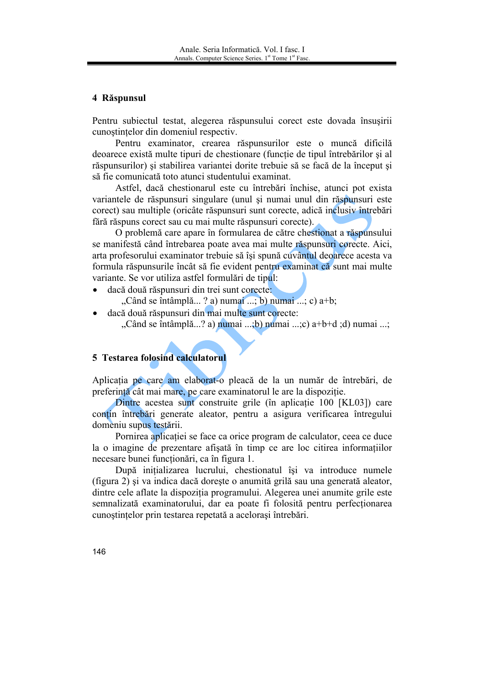#### 4 Răspunsul

Pentru subiectul testat, alegerea răspunsului corect este dovada însusirii cunostintelor din domeniul respectiv.

Pentru examinator, crearea răspunsurilor este o muncă dificilă deoarece există multe tipuri de chestionare (funcție de tipul întrebărilor și al răspunsurilor) și stabilirea variantei dorite trebuie să se facă de la început și să fie comunicată toto atunci studentului examinat.

Astfel, dacă chestionarul este cu întrebări închise, atunci pot exista variantele de răspunsuri singulare (unul și numai unul din răspunsuri este corect) sau multiple (oricâte răspunsuri sunt corecte, adică inclusiv întrebări fără răspuns corect sau cu mai multe răspunsuri corecte).

O problemă care apare în formularea de către chestionat a răspunsului se manifestă când întrebarea poate avea mai multe răspunsuri corecte. Aici, arta profesorului examinator trebuie să îsi spună cuvântul deoarece acesta va formula răspunsurile încât să fie evident pentru examinat că sunt mai multe variante. Se vor utiliza astfel formulări de tipul:

- dacă două răspunsuri din trei sunt corecte: "Când se întâmplă...? a) numai ...; b) numai ...; c) a+b;
- dacă două răspunsuri din mai multe sunt corecte: "Când se întâmplă...? a) numai ...;b) numai ...;c) a+b+d ;d) numai ...;

#### 5 Testarea folosind calculatorul

Aplicatia pe care am elaborat-o pleaçă de la un număr de întrebări, de preferință cât mai mare, pe care examinatorul le are la dispoziție.

Dintre acestea sunt construite grile (în aplicatie 100 [KL03]) care contin întrebări generate aleator, pentru a asigura verificarea întregului domeniu supus testării.

Pornirea aplicației se face ca orice program de calculator, ceea ce duce la o imagine de prezentare afișată în timp ce are loc citirea informațiilor necesare bunei functionări, ca în figura 1.

După inițializarea lucrului, chestionatul își va introduce numele (figura 2) și va indica dacă dorește o anumită grilă sau una generată aleator, dintre cele aflate la dispozitia programului. Alegerea unei anumite grile este semnalizată examinatorului, dar ea poate fi folosită pentru perfectionarea cunoștințelor prin testarea repetată a acelorași întrebări.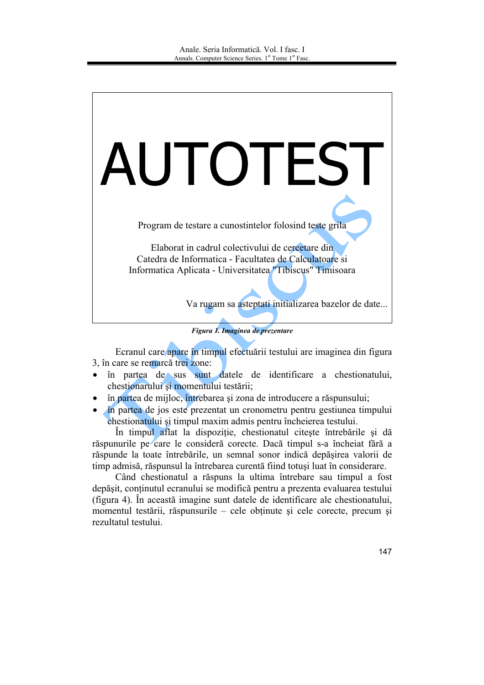

Figura 1. Imaginea de prezentare

Ecranul care apare în timpul efectuării testului are imaginea din figura 3, în care se remarcă trei zone:

- în partea de sus sunt datele de identificare a chestionatului, chestionarului și momentului testării;
- în partea de mijloc, întrebarea și zona de introducere a răspunsului;  $\bullet$
- în partea de jos este prezentat un cronometru pentru gestiunea timpului chestionatului și timpul maxim admis pentru încheierea testului.

În timpul aflat la dispozitie, chestionatul citeste întrebările și dă răspunurile pe care le consideră corecte. Dacă timpul s-a încheiat fără a răspunde la toate întrebările, un semnal sonor indică depășirea valorii de timp admisă, răspunsul la întrebarea curentă fiind totuși luat în considerare.

Când chestionatul a răspuns la ultima întrebare sau timpul a fost depăsit, continutul ecranului se modifică pentru a prezenta evaluarea testului (figura 4). În această imagine sunt datele de identificare ale chestionatului, momentul testării, răspunsurile – cele obținute și cele corecte, precum și rezultatul testului.

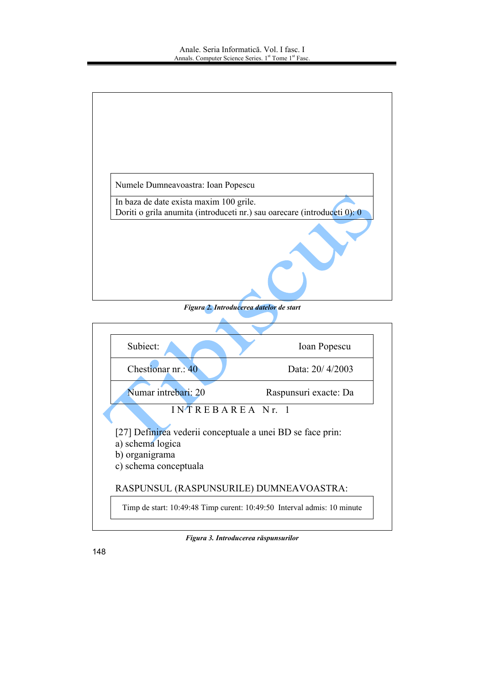

Figura 2. Introducerea datelor de start



Figura 3. Introducerea răspunsurilor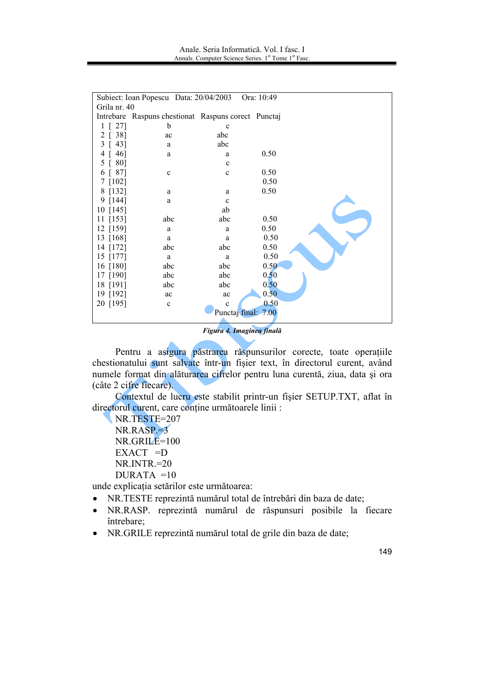|                       | Subiect: Ioan Popescu Data: 20/04/2003              |             | Ora: 10:49 |  |  |  |  |
|-----------------------|-----------------------------------------------------|-------------|------------|--|--|--|--|
| Grila nr. 40          |                                                     |             |            |  |  |  |  |
|                       | Intrebare Raspuns chestionat Raspuns corect Punctaj |             |            |  |  |  |  |
| 27]<br>$1 \Gamma$     | b                                                   | $\mathbf c$ |            |  |  |  |  |
| 38]<br>2              | ac                                                  | abc         |            |  |  |  |  |
| 43]<br>3              | a                                                   | abc         |            |  |  |  |  |
| 46]<br>4              | a                                                   | a           | 0.50       |  |  |  |  |
| 80]<br>5 <sup>1</sup> |                                                     | $\mathbf c$ |            |  |  |  |  |
| 87]<br>6              | $\mathbf c$                                         | $\mathbf c$ | 0.50       |  |  |  |  |
| $7$ [102]             |                                                     |             | 0.50       |  |  |  |  |
| 8 [132]               | a                                                   | a           | 0.50       |  |  |  |  |
| 9 [144]               | a                                                   | $\mathbf c$ |            |  |  |  |  |
| 10 [145]              |                                                     | ab          |            |  |  |  |  |
| $11$ [153]            | abc                                                 | abc         | 0.50       |  |  |  |  |
| 12 [159]              | a                                                   | a           | 0.50       |  |  |  |  |
| 13 [168]              | a                                                   | a           | 0.50       |  |  |  |  |
| 14 [172]              | abc                                                 | abc         | 0.50       |  |  |  |  |
| 15 [177]              | a                                                   | a           | 0.50       |  |  |  |  |
| 16 [180]              | abc                                                 | abc         | 0.50       |  |  |  |  |
| 17 [190]              | abc                                                 | abc         | 0.50       |  |  |  |  |
| 18 [191]              | abc                                                 | abc         | 0.50       |  |  |  |  |
| 19 [192]              | ac                                                  | ac          | 0.50       |  |  |  |  |
| 20 [195]              | $\mathbf c$                                         | $\mathbf c$ | 0.50       |  |  |  |  |
| Punctaj final: 7.00   |                                                     |             |            |  |  |  |  |
|                       |                                                     |             |            |  |  |  |  |

Figura 4. Imaginea finală

Pentru a asigura păstrarea răspunsurilor corecte, toate operațiile chestionatului sunt salvate într-un fișier text, în directorul curent, având numele format din alăturarea cifrelor pentru luna curentă, ziua, data și ora (câte 2 cifre fiecare).

Contextul de lucru este stabilit printr-un fisier SETUP.TXT, aflat în directorul curent, care conține următoarele linii :

NR.TESTE=207  $NR.RASP=3$ NR.GRILE=100  $EXACT =D$  $NR.NTR = 20$  $DURATA = 10$ 

unde explicația setărilor este următoarea:

- NR.TESTE reprezintă numărul total de întrebări din baza de date;
- · NR.RASP. reprezintă numărul de răspunsuri posibile la fiecare întrebare:
- NR. GRILE reprezintă numărul total de grile din baza de date;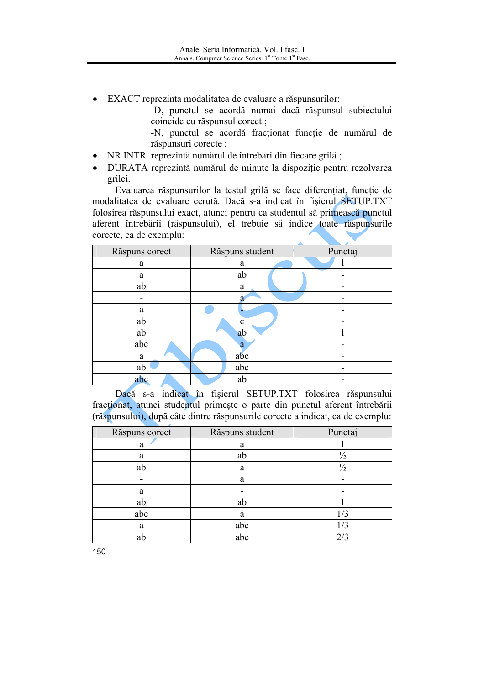EXACT reprezinta modalitatea de evaluare a răspunsurilor:

-D, punctul se acordă numai dacă răspunsul subiectului coincide cu răspunsul corect;

-N, punctul se acordă fracționat funcție de numărul de răspunsuri corecte;

- NR.INTR. reprezintă numărul de întrebări din fiecare grilă;  $\bullet$
- DURATA reprezintă numărul de minute la dispozitie pentru rezolvarea  $\bullet$ grilei.

Evaluarea răspunsurilor la testul grilă se face diferențiat, funcție de modalitatea de evaluare cerută. Dacă s-a indicat în fișierul SETUP.TXT folosirea răspunsului exact, atunci pentru ca studentul să primească punctul aferent întrebării (răspunsului), el trebuie să indice toate răspunsurile corecte, ca de exemplu:

| Răspuns corect | Răspuns student | Punctaj |
|----------------|-----------------|---------|
| a              | a               |         |
| a              | ab              |         |
| ab             | a               |         |
|                | я               |         |
| a              |                 |         |
| ab             | $\mathbf{c}$    |         |
| ab             | ab              |         |
| abc            | a               |         |
| a              | abc             |         |
| ab             | abc             |         |
| abc            | ab              |         |

Dacă s-a indicat în fișierul SETUP.TXT folosirea răspunsului fractionat, atunci studentul primește o parte din punctul aferent întrebării (răspunsului), după câte dintre răspunsurile corecte a indicat, ca de exemplu:

| Răspuns corect | Răspuns student | Punctaj       |
|----------------|-----------------|---------------|
| a              | a               |               |
| a              | ab              | $\frac{1}{2}$ |
| ab             | a               | $\frac{1}{2}$ |
|                | a               |               |
| a              |                 |               |
| ab             | ab              |               |
| abc            | a               | /3            |
| a              | abc             | 1/3           |
| ab             | abc             | 2/3           |